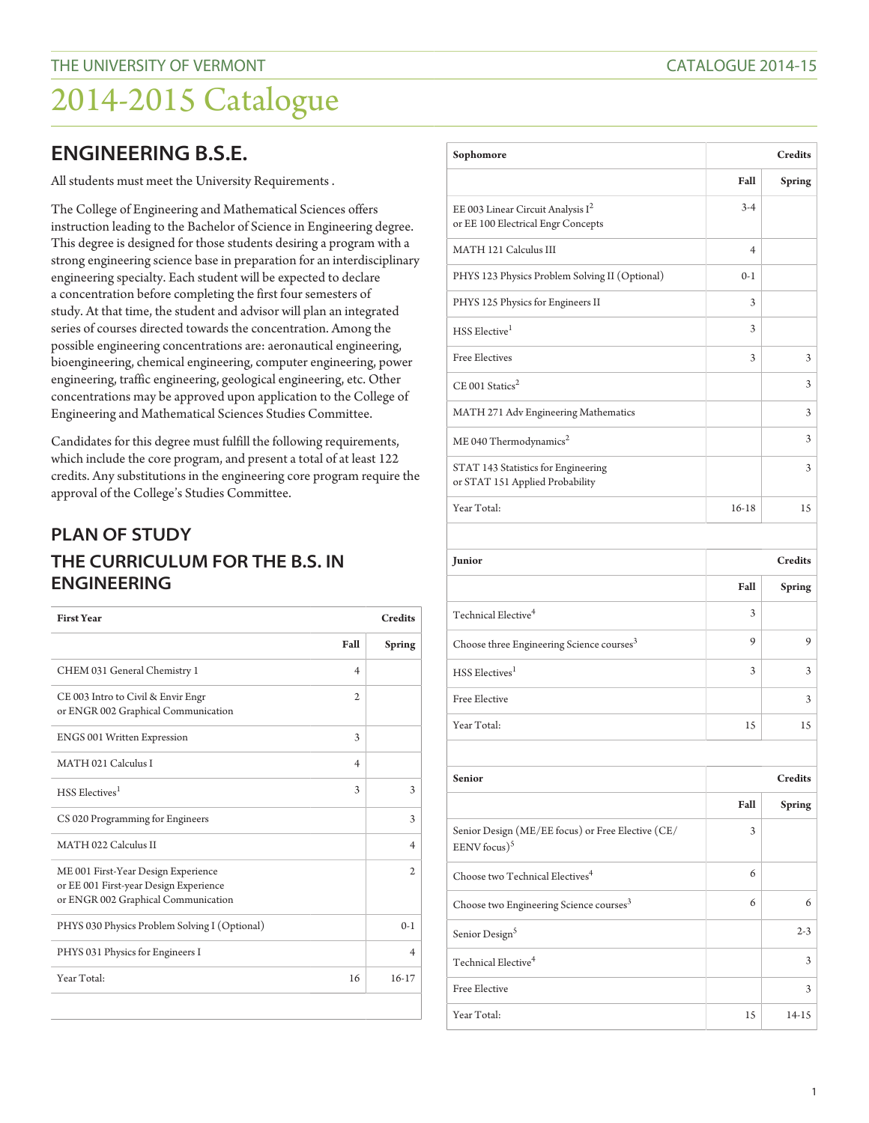## **ENGINEERING B.S.E.**

All students must meet the University Requirements .

The College of Engineering and Mathematical Sciences offers instruction leading to the Bachelor of Science in Engineering degree. This degree is designed for those students desiring a program with a strong engineering science base in preparation for an interdisciplinary engineering specialty. Each student will be expected to declare a concentration before completing the first four semesters of study. At that time, the student and advisor will plan an integrated series of courses directed towards the concentration. Among the possible engineering concentrations are: aeronautical engineering, bioengineering, chemical engineering, computer engineering, power engineering, traffic engineering, geological engineering, etc. Other concentrations may be approved upon application to the College of Engineering and Mathematical Sciences Studies Committee.

Candidates for this degree must fulfill the following requirements, which include the core program, and present a total of at least 122 credits. Any substitutions in the engineering core program require the approval of the College's Studies Committee.

## **PLAN OF STUDY THE CURRICULUM FOR THE B.S. IN ENGINEERING**

| <b>First Year</b>                                                                                                    |                | <b>Credits</b> |
|----------------------------------------------------------------------------------------------------------------------|----------------|----------------|
|                                                                                                                      | Fall           | <b>Spring</b>  |
| CHEM 031 General Chemistry 1                                                                                         | 4              |                |
| CE 003 Intro to Civil & Envir Engr<br>or ENGR 002 Graphical Communication                                            | $\overline{2}$ |                |
| ENGS 001 Written Expression                                                                                          | 3              |                |
| MATH 021 Calculus I                                                                                                  | $\overline{4}$ |                |
| HSS Electives <sup>1</sup>                                                                                           | 3              | 3              |
| CS 020 Programming for Engineers                                                                                     |                | 3              |
| MATH 022 Calculus II                                                                                                 |                | $\overline{4}$ |
| ME 001 First-Year Design Experience<br>or EE 001 First-year Design Experience<br>or ENGR 002 Graphical Communication |                | 2              |
| PHYS 030 Physics Problem Solving I (Optional)                                                                        |                | $0-1$          |
| PHYS 031 Physics for Engineers I                                                                                     |                | $\overline{4}$ |
| Year Total:                                                                                                          | 16             | $16 - 17$      |
|                                                                                                                      |                |                |

| Sophomore                                                                  | <b>Credits</b> |               |
|----------------------------------------------------------------------------|----------------|---------------|
|                                                                            | Fall           | <b>Spring</b> |
| EE 003 Linear Circuit Analysis $I^2$<br>or EE 100 Electrical Engr Concepts | $3-4$          |               |
| MATH 121 Calculus III                                                      | $\overline{4}$ |               |
| PHYS 123 Physics Problem Solving II (Optional)                             | $0-1$          |               |
| PHYS 125 Physics for Engineers II                                          | 3              |               |
| HSS Elective <sup>1</sup>                                                  | 3              |               |
| <b>Free Electives</b>                                                      | 3              | 3             |
| $CE$ 001 Statics <sup>2</sup>                                              |                | 3             |
| MATH 271 Adv Engineering Mathematics                                       |                | 3             |
| ME 040 Thermodynamics <sup>2</sup>                                         |                | 3             |
| STAT 143 Statistics for Engineering<br>or STAT 151 Applied Probability     |                | 3             |
| Year Total:                                                                | $16-18$        | 15            |

| Junior                                                |      | <b>Credits</b> |
|-------------------------------------------------------|------|----------------|
|                                                       | Fall | <b>Spring</b>  |
| Technical Elective <sup>4</sup>                       | 3    |                |
| Choose three Engineering Science courses <sup>3</sup> | 9    | 9              |
| HSS Electives <sup>1</sup>                            | 3    | 3              |
| Free Elective                                         |      | 3              |
| Year Total:                                           | 15   | 15             |

| <b>Senior</b>                                                        | <b>Credits</b> |               |
|----------------------------------------------------------------------|----------------|---------------|
|                                                                      | Fall           | <b>Spring</b> |
| Senior Design (ME/EE focus) or Free Elective (CE/<br>EENV focus) $5$ | 3              |               |
| Choose two Technical Electives <sup>4</sup>                          | 6              |               |
| Choose two Engineering Science courses <sup>3</sup>                  | 6              | 6             |
| Senior Design <sup>5</sup>                                           |                | $2 - 3$       |
| Technical Elective <sup>4</sup>                                      |                | 3             |
| Free Elective                                                        |                | 3             |
| Year Total:                                                          | 15             | 14-15         |